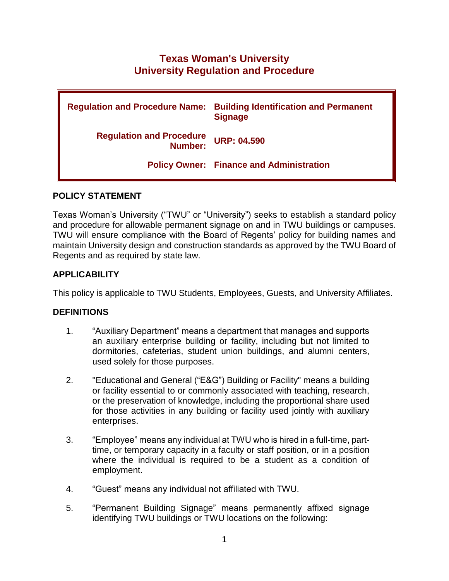# **Texas Woman's University University Regulation and Procedure**

| <b>Regulation and Procedure Name:</b>      | <b>Building Identification and Permanent</b><br><b>Signage</b> |
|--------------------------------------------|----------------------------------------------------------------|
| <b>Regulation and Procedure</b><br>Number: | <b>URP: 04.590</b>                                             |
|                                            | <b>Policy Owner: Finance and Administration</b>                |

## **POLICY STATEMENT**

Texas Woman's University ("TWU" or "University") seeks to establish a standard policy and procedure for allowable permanent signage on and in TWU buildings or campuses. TWU will ensure compliance with the Board of Regents' policy for building names and maintain University design and construction standards as approved by the TWU Board of Regents and as required by state law.

# **APPLICABILITY**

This policy is applicable to TWU Students, Employees, Guests, and University Affiliates.

# **DEFINITIONS**

- 1. "Auxiliary Department" means a department that manages and supports an auxiliary enterprise building or facility, including but not limited to dormitories, cafeterias, student union buildings, and alumni centers, used solely for those purposes.
- 2. "Educational and General ("E&G") Building or Facility" means a building or facility essential to or commonly associated with teaching, research, or the preservation of knowledge, including the proportional share used for those activities in any building or facility used jointly with auxiliary enterprises.
- 3. "Employee" means any individual at TWU who is hired in a full-time, parttime, or temporary capacity in a faculty or staff position, or in a position where the individual is required to be a student as a condition of employment.
- 4. "Guest" means any individual not affiliated with TWU.
- 5. "Permanent Building Signage" means permanently affixed signage identifying TWU buildings or TWU locations on the following: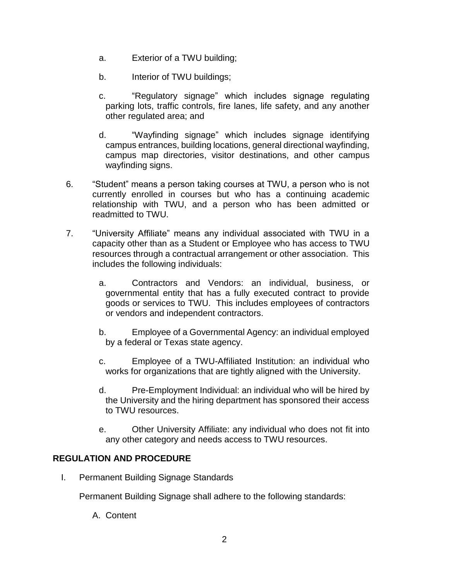- a. Exterior of a TWU building;
- b. Interior of TWU buildings;
- c. "Regulatory signage" which includes signage regulating parking lots, traffic controls, fire lanes, life safety, and any another other regulated area; and
- d. "Wayfinding signage" which includes signage identifying campus entrances, building locations, general directional wayfinding, campus map directories, visitor destinations, and other campus wayfinding signs.
- 6. "Student" means a person taking courses at TWU, a person who is not currently enrolled in courses but who has a continuing academic relationship with TWU, and a person who has been admitted or readmitted to TWU.
- 7. "University Affiliate" means any individual associated with TWU in a capacity other than as a Student or Employee who has access to TWU resources through a contractual arrangement or other association. This includes the following individuals:
	- a. Contractors and Vendors: an individual, business, or governmental entity that has a fully executed contract to provide goods or services to TWU. This includes employees of contractors or vendors and independent contractors.
	- b. Employee of a Governmental Agency: an individual employed by a federal or Texas state agency.
	- c. Employee of a TWU-Affiliated Institution: an individual who works for organizations that are tightly aligned with the University.
	- d. Pre-Employment Individual: an individual who will be hired by the University and the hiring department has sponsored their access to TWU resources.
	- e. Other University Affiliate: any individual who does not fit into any other category and needs access to TWU resources.

#### **REGULATION AND PROCEDURE**

I. Permanent Building Signage Standards

Permanent Building Signage shall adhere to the following standards:

A. Content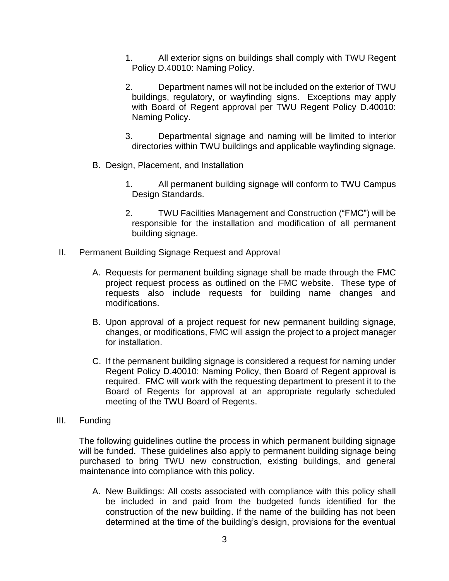- 1. All exterior signs on buildings shall comply with TWU Regent Policy D.40010: Naming Policy.
- 2. Department names will not be included on the exterior of TWU buildings, regulatory, or wayfinding signs. Exceptions may apply with Board of Regent approval per TWU Regent Policy D.40010: Naming Policy.
- 3. Departmental signage and naming will be limited to interior directories within TWU buildings and applicable wayfinding signage.
- B. Design, Placement, and Installation
	- 1. All permanent building signage will conform to TWU Campus Design Standards.
	- 2. TWU Facilities Management and Construction ("FMC") will be responsible for the installation and modification of all permanent building signage.
- II. Permanent Building Signage Request and Approval
	- A. Requests for permanent building signage shall be made through the FMC project request process as outlined on the FMC website. These type of requests also include requests for building name changes and modifications.
	- B. Upon approval of a project request for new permanent building signage, changes, or modifications, FMC will assign the project to a project manager for installation.
	- C. If the permanent building signage is considered a request for naming under Regent Policy D.40010: Naming Policy, then Board of Regent approval is required. FMC will work with the requesting department to present it to the Board of Regents for approval at an appropriate regularly scheduled meeting of the TWU Board of Regents.
- III. Funding

The following guidelines outline the process in which permanent building signage will be funded. These guidelines also apply to permanent building signage being purchased to bring TWU new construction, existing buildings, and general maintenance into compliance with this policy.

A. New Buildings: All costs associated with compliance with this policy shall be included in and paid from the budgeted funds identified for the construction of the new building. If the name of the building has not been determined at the time of the building's design, provisions for the eventual